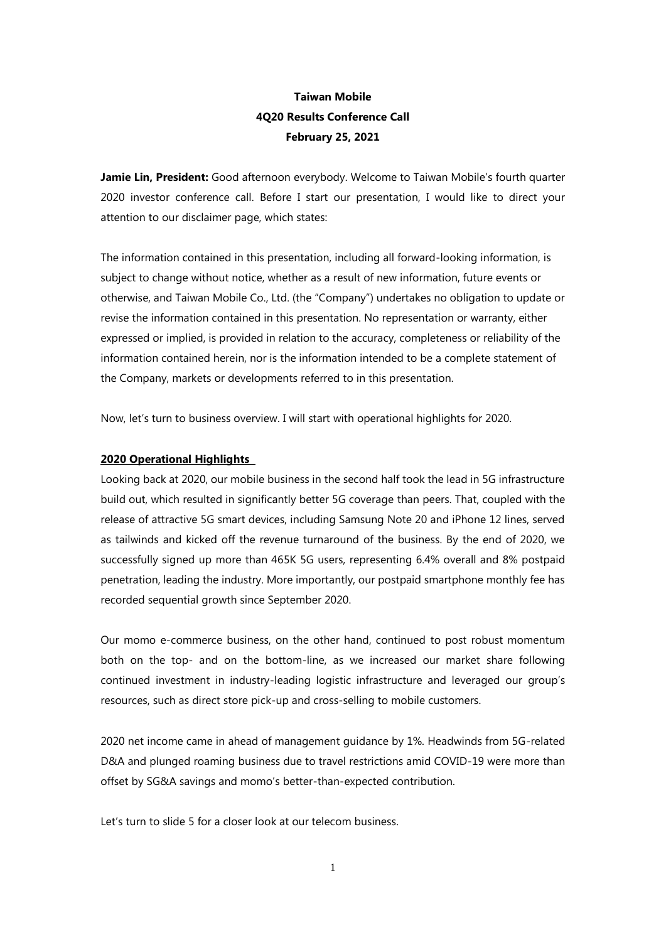# **Taiwan Mobile 4Q20 Results Conference Call February 25, 2021**

**Jamie Lin, President:** Good afternoon everybody. Welcome to Taiwan Mobile's fourth quarter 2020 investor conference call. Before I start our presentation, I would like to direct your attention to our disclaimer page, which states:

The information contained in this presentation, including all forward-looking information, is subject to change without notice, whether as a result of new information, future events or otherwise, and Taiwan Mobile Co., Ltd. (the "Company") undertakes no obligation to update or revise the information contained in this presentation. No representation or warranty, either expressed or implied, is provided in relation to the accuracy, completeness or reliability of the information contained herein, nor is the information intended to be a complete statement of the Company, markets or developments referred to in this presentation.

Now, let's turn to business overview. I will start with operational highlights for 2020.

### **2020 Operational Highlights**

Looking back at 2020, our mobile business in the second half took the lead in 5G infrastructure build out, which resulted in significantly better 5G coverage than peers. That, coupled with the release of attractive 5G smart devices, including Samsung Note 20 and iPhone 12 lines, served as tailwinds and kicked off the revenue turnaround of the business. By the end of 2020, we successfully signed up more than 465K 5G users, representing 6.4% overall and 8% postpaid penetration, leading the industry. More importantly, our postpaid smartphone monthly fee has recorded sequential growth since September 2020.

Our momo e-commerce business, on the other hand, continued to post robust momentum both on the top- and on the bottom-line, as we increased our market share following continued investment in industry-leading logistic infrastructure and leveraged our group's resources, such as direct store pick-up and cross-selling to mobile customers.

2020 net income came in ahead of management guidance by 1%. Headwinds from 5G-related D&A and plunged roaming business due to travel restrictions amid COVID-19 were more than offset by SG&A savings and momo's better-than-expected contribution.

Let's turn to slide 5 for a closer look at our telecom business.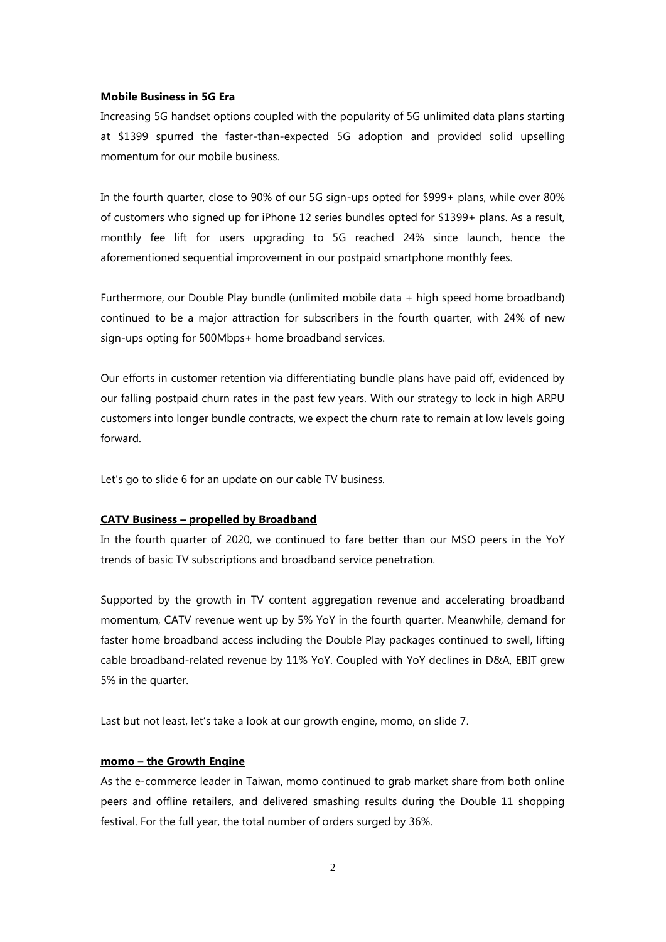#### **Mobile Business in 5G Era**

Increasing 5G handset options coupled with the popularity of 5G unlimited data plans starting at \$1399 spurred the faster-than-expected 5G adoption and provided solid upselling momentum for our mobile business.

In the fourth quarter, close to 90% of our 5G sign-ups opted for \$999+ plans, while over 80% of customers who signed up for iPhone 12 series bundles opted for \$1399+ plans. As a result, monthly fee lift for users upgrading to 5G reached 24% since launch, hence the aforementioned sequential improvement in our postpaid smartphone monthly fees.

Furthermore, our Double Play bundle (unlimited mobile data + high speed home broadband) continued to be a major attraction for subscribers in the fourth quarter, with 24% of new sign-ups opting for 500Mbps+ home broadband services.

Our efforts in customer retention via differentiating bundle plans have paid off, evidenced by our falling postpaid churn rates in the past few years. With our strategy to lock in high ARPU customers into longer bundle contracts, we expect the churn rate to remain at low levels going forward.

Let's go to slide 6 for an update on our cable TV business.

## **CATV Business – propelled by Broadband**

In the fourth quarter of 2020, we continued to fare better than our MSO peers in the YoY trends of basic TV subscriptions and broadband service penetration.

Supported by the growth in TV content aggregation revenue and accelerating broadband momentum, CATV revenue went up by 5% YoY in the fourth quarter. Meanwhile, demand for faster home broadband access including the Double Play packages continued to swell, lifting cable broadband-related revenue by 11% YoY. Coupled with YoY declines in D&A, EBIT grew 5% in the quarter.

Last but not least, let's take a look at our growth engine, momo, on slide 7.

# **momo – the Growth Engine**

As the e-commerce leader in Taiwan, momo continued to grab market share from both online peers and offline retailers, and delivered smashing results during the Double 11 shopping festival. For the full year, the total number of orders surged by 36%.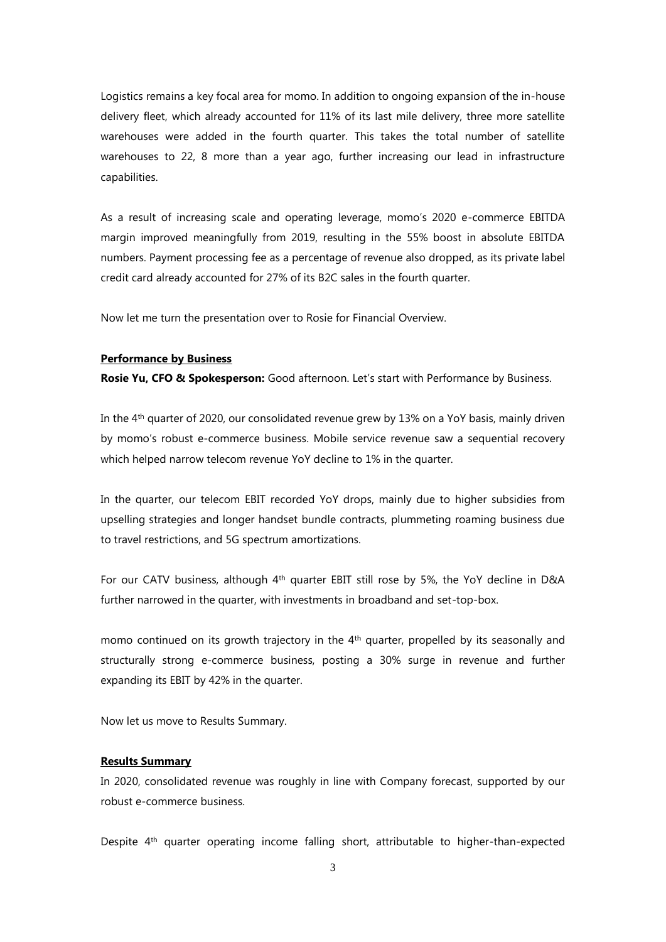Logistics remains a key focal area for momo. In addition to ongoing expansion of the in-house delivery fleet, which already accounted for 11% of its last mile delivery, three more satellite warehouses were added in the fourth quarter. This takes the total number of satellite warehouses to 22, 8 more than a year ago, further increasing our lead in infrastructure capabilities.

As a result of increasing scale and operating leverage, momo's 2020 e-commerce EBITDA margin improved meaningfully from 2019, resulting in the 55% boost in absolute EBITDA numbers. Payment processing fee as a percentage of revenue also dropped, as its private label credit card already accounted for 27% of its B2C sales in the fourth quarter.

Now let me turn the presentation over to Rosie for Financial Overview.

#### **Performance by Business**

**Rosie Yu, CFO & Spokesperson:** Good afternoon. Let's start with Performance by Business.

In the 4th quarter of 2020, our consolidated revenue grew by 13% on a YoY basis, mainly driven by momo's robust e-commerce business. Mobile service revenue saw a sequential recovery which helped narrow telecom revenue YoY decline to 1% in the quarter.

In the quarter, our telecom EBIT recorded YoY drops, mainly due to higher subsidies from upselling strategies and longer handset bundle contracts, plummeting roaming business due to travel restrictions, and 5G spectrum amortizations.

For our CATV business, although 4<sup>th</sup> quarter EBIT still rose by 5%, the YoY decline in D&A further narrowed in the quarter, with investments in broadband and set-top-box.

momo continued on its growth trajectory in the  $4<sup>th</sup>$  quarter, propelled by its seasonally and structurally strong e-commerce business, posting a 30% surge in revenue and further expanding its EBIT by 42% in the quarter.

Now let us move to Results Summary.

#### **Results Summary**

In 2020, consolidated revenue was roughly in line with Company forecast, supported by our robust e-commerce business.

Despite 4<sup>th</sup> quarter operating income falling short, attributable to higher-than-expected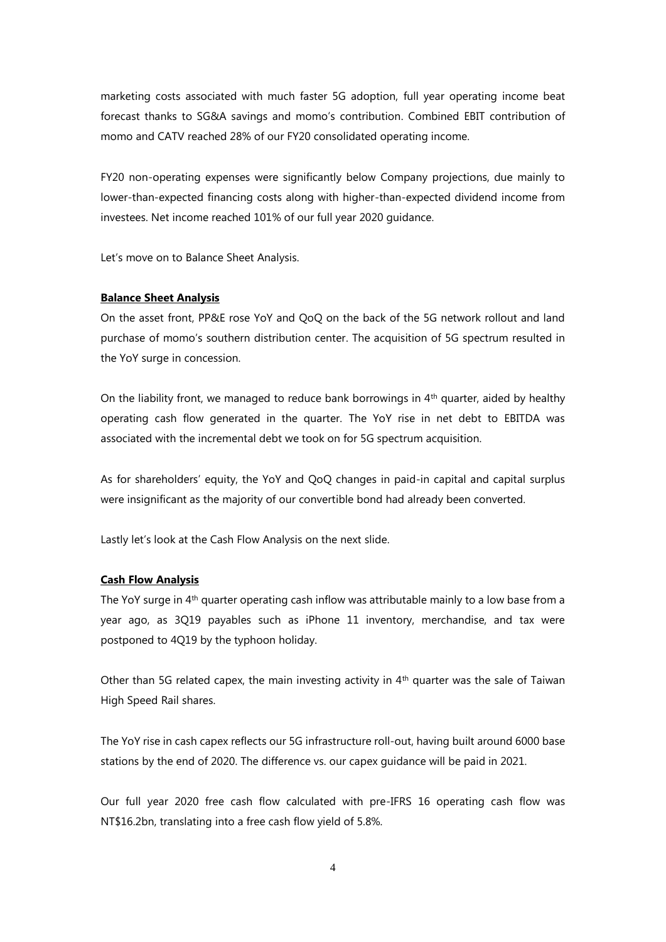marketing costs associated with much faster 5G adoption, full year operating income beat forecast thanks to SG&A savings and momo's contribution. Combined EBIT contribution of momo and CATV reached 28% of our FY20 consolidated operating income.

FY20 non-operating expenses were significantly below Company projections, due mainly to lower-than-expected financing costs along with higher-than-expected dividend income from investees. Net income reached 101% of our full year 2020 guidance.

Let's move on to Balance Sheet Analysis.

#### **Balance Sheet Analysis**

On the asset front, PP&E rose YoY and QoQ on the back of the 5G network rollout and land purchase of momo's southern distribution center. The acquisition of 5G spectrum resulted in the YoY surge in concession.

On the liability front, we managed to reduce bank borrowings in  $4<sup>th</sup>$  quarter, aided by healthy operating cash flow generated in the quarter. The YoY rise in net debt to EBITDA was associated with the incremental debt we took on for 5G spectrum acquisition.

As for shareholders' equity, the YoY and QoQ changes in paid-in capital and capital surplus were insignificant as the majority of our convertible bond had already been converted.

Lastly let's look at the Cash Flow Analysis on the next slide.

## **Cash Flow Analysis**

The YoY surge in 4<sup>th</sup> quarter operating cash inflow was attributable mainly to a low base from a year ago, as 3Q19 payables such as iPhone 11 inventory, merchandise, and tax were postponed to 4Q19 by the typhoon holiday.

Other than 5G related capex, the main investing activity in  $4<sup>th</sup>$  quarter was the sale of Taiwan High Speed Rail shares.

The YoY rise in cash capex reflects our 5G infrastructure roll-out, having built around 6000 base stations by the end of 2020. The difference vs. our capex guidance will be paid in 2021.

Our full year 2020 free cash flow calculated with pre-IFRS 16 operating cash flow was NT\$16.2bn, translating into a free cash flow yield of 5.8%.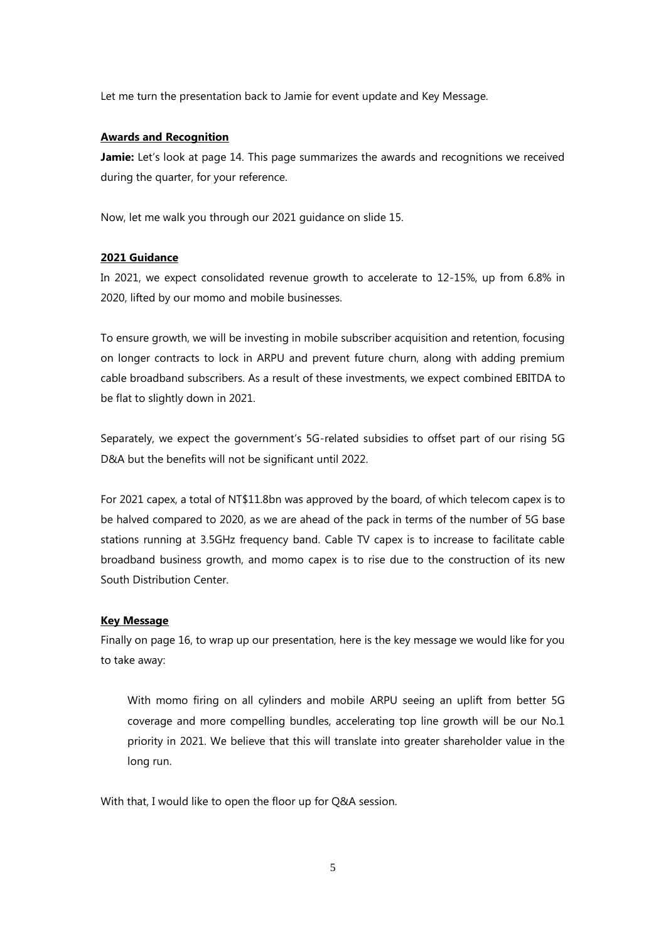Let me turn the presentation back to Jamie for event update and Key Message.

#### **Awards and Recognition**

Jamie: Let's look at page 14. This page summarizes the awards and recognitions we received during the quarter, for your reference.

Now, let me walk you through our 2021 guidance on slide 15.

## **2021 Guidance**

In 2021, we expect consolidated revenue growth to accelerate to 12-15%, up from 6.8% in 2020, lifted by our momo and mobile businesses.

To ensure growth, we will be investing in mobile subscriber acquisition and retention, focusing on longer contracts to lock in ARPU and prevent future churn, along with adding premium cable broadband subscribers. As a result of these investments, we expect combined EBITDA to be flat to slightly down in 2021.

Separately, we expect the government's 5G-related subsidies to offset part of our rising 5G D&A but the benefits will not be significant until 2022.

For 2021 capex, a total of NT\$11.8bn was approved by the board, of which telecom capex is to be halved compared to 2020, as we are ahead of the pack in terms of the number of 5G base stations running at 3.5GHz frequency band. Cable TV capex is to increase to facilitate cable broadband business growth, and momo capex is to rise due to the construction of its new South Distribution Center.

#### **Key Message**

Finally on page 16, to wrap up our presentation, here is the key message we would like for you to take away:

With momo firing on all cylinders and mobile ARPU seeing an uplift from better 5G coverage and more compelling bundles, accelerating top line growth will be our No.1 priority in 2021. We believe that this will translate into greater shareholder value in the long run.

With that, I would like to open the floor up for Q&A session.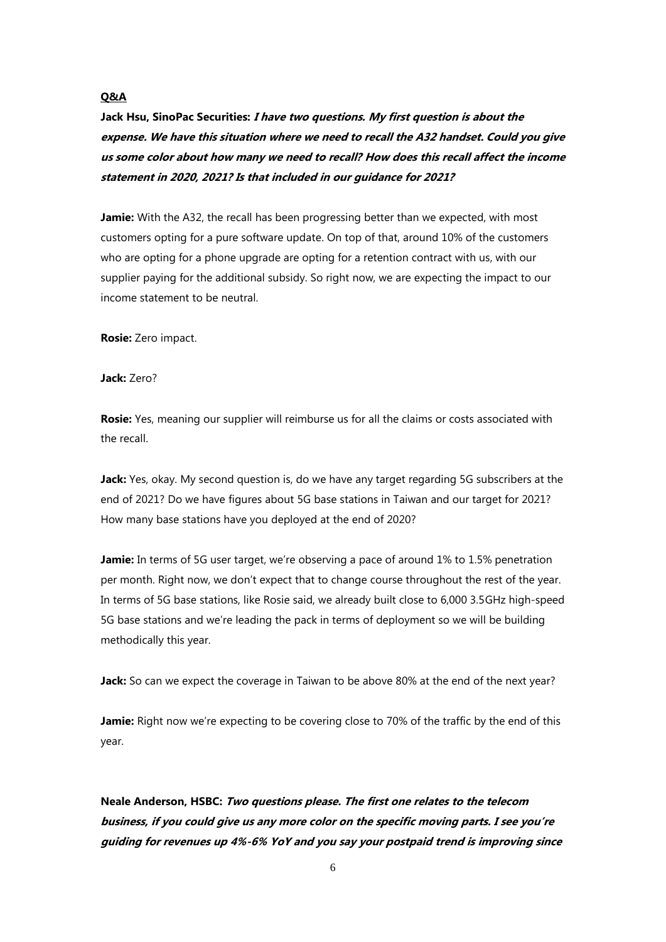# **Q&A**

**Jack Hsu, SinoPac Securities: I have two questions. My first question is about the expense. We have this situation where we need to recall the A32 handset. Could you give us some color about how many we need to recall? How does this recall affect the income statement in 2020, 2021? Is that included in our guidance for 2021?**

**Jamie:** With the A32, the recall has been progressing better than we expected, with most customers opting for a pure software update. On top of that, around 10% of the customers who are opting for a phone upgrade are opting for a retention contract with us, with our supplier paying for the additional subsidy. So right now, we are expecting the impact to our income statement to be neutral.

**Rosie:** Zero impact.

**Jack:** Zero?

**Rosie:** Yes, meaning our supplier will reimburse us for all the claims or costs associated with the recall.

**Jack:** Yes, okay. My second question is, do we have any target regarding 5G subscribers at the end of 2021? Do we have figures about 5G base stations in Taiwan and our target for 2021? How many base stations have you deployed at the end of 2020?

**Jamie:** In terms of 5G user target, we're observing a pace of around 1% to 1.5% penetration per month. Right now, we don't expect that to change course throughout the rest of the year. In terms of 5G base stations, like Rosie said, we already built close to 6,000 3.5GHz high-speed 5G base stations and we're leading the pack in terms of deployment so we will be building methodically this year.

**Jack:** So can we expect the coverage in Taiwan to be above 80% at the end of the next year?

**Jamie:** Right now we're expecting to be covering close to 70% of the traffic by the end of this year.

**Neale Anderson, HSBC: Two questions please. The first one relates to the telecom business, if you could give us any more color on the specific moving parts. I see you're guiding for revenues up 4%-6% YoY and you say your postpaid trend is improving since**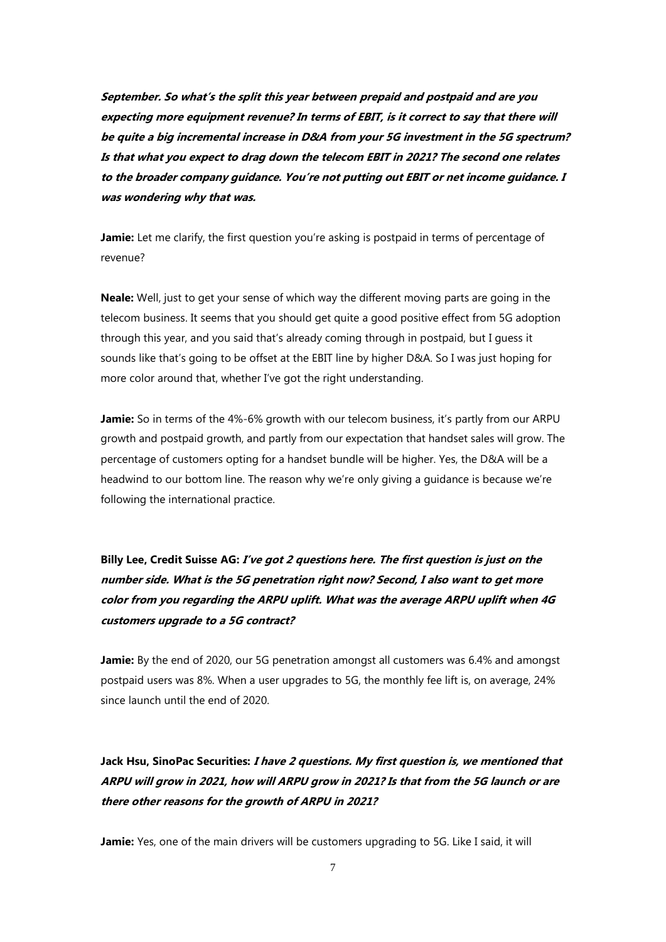**September. So what's the split this year between prepaid and postpaid and are you expecting more equipment revenue? In terms of EBIT, is it correct to say that there will be quite a big incremental increase in D&A from your 5G investment in the 5G spectrum? Is that what you expect to drag down the telecom EBIT in 2021? The second one relates to the broader company guidance. You're not putting out EBIT or net income guidance. I was wondering why that was.**

Jamie: Let me clarify, the first question you're asking is postpaid in terms of percentage of revenue?

**Neale:** Well, just to get your sense of which way the different moving parts are going in the telecom business. It seems that you should get quite a good positive effect from 5G adoption through this year, and you said that's already coming through in postpaid, but I guess it sounds like that's going to be offset at the EBIT line by higher D&A. So I was just hoping for more color around that, whether I've got the right understanding.

**Jamie:** So in terms of the 4%-6% growth with our telecom business, it's partly from our ARPU growth and postpaid growth, and partly from our expectation that handset sales will grow. The percentage of customers opting for a handset bundle will be higher. Yes, the D&A will be a headwind to our bottom line. The reason why we're only giving a guidance is because we're following the international practice.

# **Billy Lee, Credit Suisse AG: I've got 2 questions here. The first question is just on the number side. What is the 5G penetration right now? Second, I also want to get more color from you regarding the ARPU uplift. What was the average ARPU uplift when 4G customers upgrade to a 5G contract?**

**Jamie:** By the end of 2020, our 5G penetration amongst all customers was 6.4% and amongst postpaid users was 8%. When a user upgrades to 5G, the monthly fee lift is, on average, 24% since launch until the end of 2020.

**Jack Hsu, SinoPac Securities: I have 2 questions. My first question is, we mentioned that ARPU will grow in 2021, how will ARPU grow in 2021? Is that from the 5G launch or are there other reasons for the growth of ARPU in 2021?** 

**Jamie:** Yes, one of the main drivers will be customers upgrading to 5G. Like I said, it will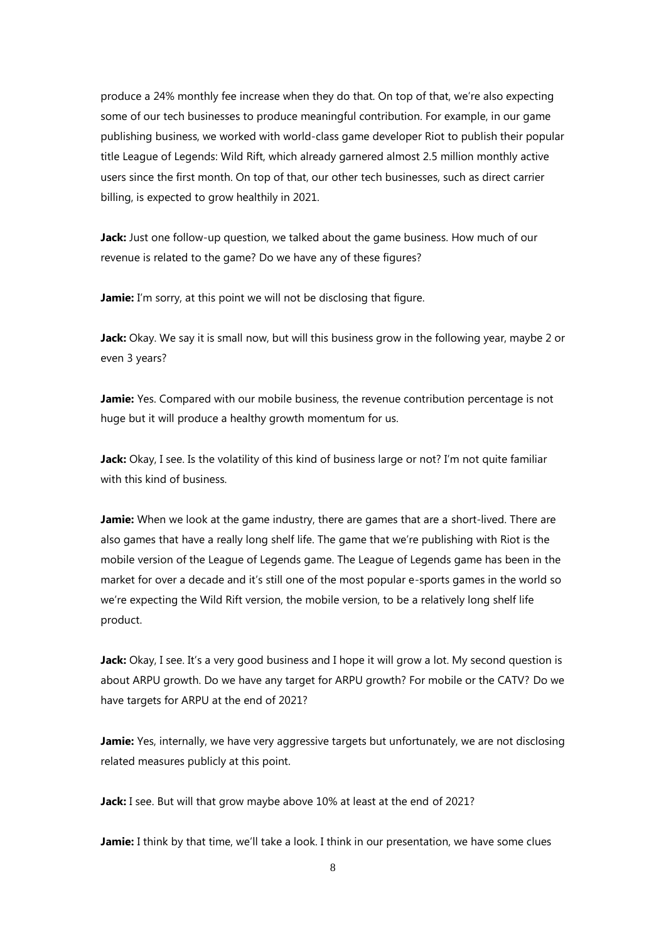produce a 24% monthly fee increase when they do that. On top of that, we're also expecting some of our tech businesses to produce meaningful contribution. For example, in our game publishing business, we worked with world-class game developer Riot to publish their popular title League of Legends: Wild Rift, which already garnered almost 2.5 million monthly active users since the first month. On top of that, our other tech businesses, such as direct carrier billing, is expected to grow healthily in 2021.

Jack: Just one follow-up question, we talked about the game business. How much of our revenue is related to the game? Do we have any of these figures?

**Jamie:** I'm sorry, at this point we will not be disclosing that figure.

**Jack:** Okay. We say it is small now, but will this business grow in the following year, maybe 2 or even 3 years?

**Jamie:** Yes. Compared with our mobile business, the revenue contribution percentage is not huge but it will produce a healthy growth momentum for us.

**Jack:** Okay, I see. Is the volatility of this kind of business large or not? I'm not quite familiar with this kind of business.

**Jamie:** When we look at the game industry, there are games that are a short-lived. There are also games that have a really long shelf life. The game that we're publishing with Riot is the mobile version of the League of Legends game. The League of Legends game has been in the market for over a decade and it's still one of the most popular e-sports games in the world so we're expecting the Wild Rift version, the mobile version, to be a relatively long shelf life product.

**Jack:** Okay, I see. It's a very good business and I hope it will grow a lot. My second question is about ARPU growth. Do we have any target for ARPU growth? For mobile or the CATV? Do we have targets for ARPU at the end of 2021?

**Jamie:** Yes, internally, we have very aggressive targets but unfortunately, we are not disclosing related measures publicly at this point.

**Jack:** I see. But will that grow maybe above 10% at least at the end of 2021?

**Jamie:** I think by that time, we'll take a look. I think in our presentation, we have some clues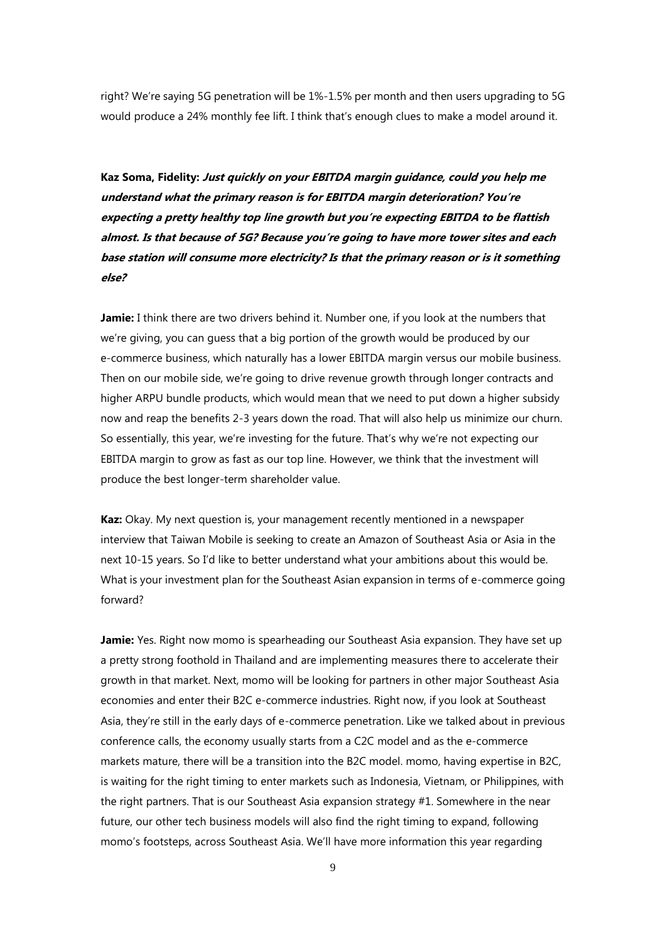right? We're saying 5G penetration will be 1%-1.5% per month and then users upgrading to 5G would produce a 24% monthly fee lift. I think that's enough clues to make a model around it.

**Kaz Soma, Fidelity: Just quickly on your EBITDA margin guidance, could you help me understand what the primary reason is for EBITDA margin deterioration? You're expecting a pretty healthy top line growth but you're expecting EBITDA to be flattish almost. Is that because of 5G? Because you're going to have more tower sites and each base station will consume more electricity? Is that the primary reason or is it something else?**

**Jamie:** I think there are two drivers behind it. Number one, if you look at the numbers that we're giving, you can guess that a big portion of the growth would be produced by our e-commerce business, which naturally has a lower EBITDA margin versus our mobile business. Then on our mobile side, we're going to drive revenue growth through longer contracts and higher ARPU bundle products, which would mean that we need to put down a higher subsidy now and reap the benefits 2-3 years down the road. That will also help us minimize our churn. So essentially, this year, we're investing for the future. That's why we're not expecting our EBITDA margin to grow as fast as our top line. However, we think that the investment will produce the best longer-term shareholder value.

**Kaz:** Okay. My next question is, your management recently mentioned in a newspaper interview that Taiwan Mobile is seeking to create an Amazon of Southeast Asia or Asia in the next 10-15 years. So I'd like to better understand what your ambitions about this would be. What is your investment plan for the Southeast Asian expansion in terms of e-commerce going forward?

**Jamie:** Yes. Right now momo is spearheading our Southeast Asia expansion. They have set up a pretty strong foothold in Thailand and are implementing measures there to accelerate their growth in that market. Next, momo will be looking for partners in other major Southeast Asia economies and enter their B2C e-commerce industries. Right now, if you look at Southeast Asia, they're still in the early days of e-commerce penetration. Like we talked about in previous conference calls, the economy usually starts from a C2C model and as the e-commerce markets mature, there will be a transition into the B2C model. momo, having expertise in B2C, is waiting for the right timing to enter markets such as Indonesia, Vietnam, or Philippines, with the right partners. That is our Southeast Asia expansion strategy #1. Somewhere in the near future, our other tech business models will also find the right timing to expand, following momo's footsteps, across Southeast Asia. We'll have more information this year regarding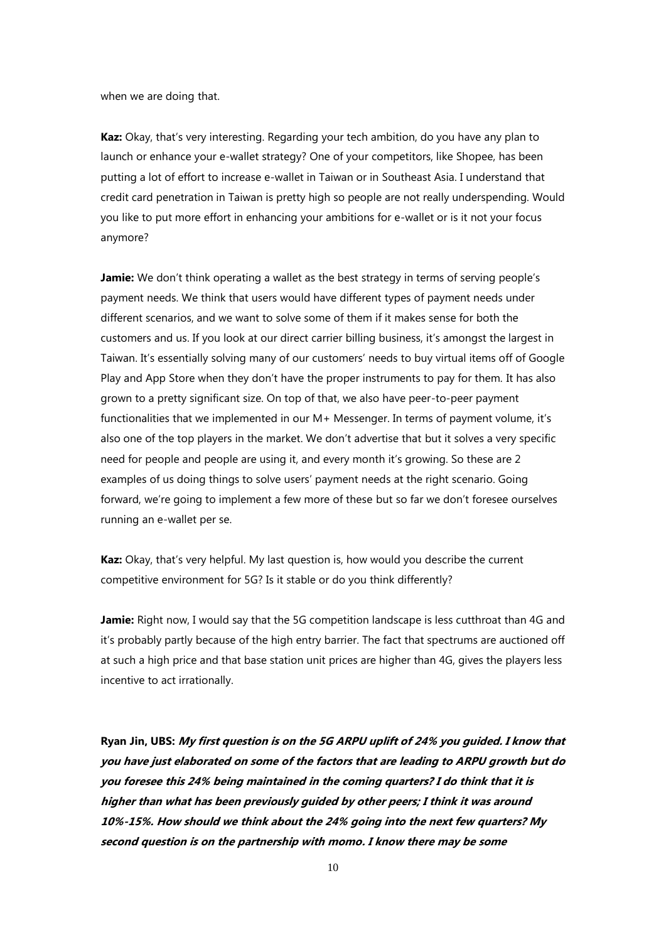when we are doing that.

**Kaz:** Okay, that's very interesting. Regarding your tech ambition, do you have any plan to launch or enhance your e-wallet strategy? One of your competitors, like Shopee, has been putting a lot of effort to increase e-wallet in Taiwan or in Southeast Asia. I understand that credit card penetration in Taiwan is pretty high so people are not really underspending. Would you like to put more effort in enhancing your ambitions for e-wallet or is it not your focus anymore?

**Jamie:** We don't think operating a wallet as the best strategy in terms of serving people's payment needs. We think that users would have different types of payment needs under different scenarios, and we want to solve some of them if it makes sense for both the customers and us. If you look at our direct carrier billing business, it's amongst the largest in Taiwan. It's essentially solving many of our customers' needs to buy virtual items off of Google Play and App Store when they don't have the proper instruments to pay for them. It has also grown to a pretty significant size. On top of that, we also have peer-to-peer payment functionalities that we implemented in our M+ Messenger. In terms of payment volume, it's also one of the top players in the market. We don't advertise that but it solves a very specific need for people and people are using it, and every month it's growing. So these are 2 examples of us doing things to solve users' payment needs at the right scenario. Going forward, we're going to implement a few more of these but so far we don't foresee ourselves running an e-wallet per se.

**Kaz:** Okay, that's very helpful. My last question is, how would you describe the current competitive environment for 5G? Is it stable or do you think differently?

**Jamie:** Right now, I would say that the 5G competition landscape is less cutthroat than 4G and it's probably partly because of the high entry barrier. The fact that spectrums are auctioned off at such a high price and that base station unit prices are higher than 4G, gives the players less incentive to act irrationally.

**Ryan Jin, UBS: My first question is on the 5G ARPU uplift of 24% you guided. I know that you have just elaborated on some of the factors that are leading to ARPU growth but do you foresee this 24% being maintained in the coming quarters? I do think that it is higher than what has been previously guided by other peers; I think it was around 10%-15%. How should we think about the 24% going into the next few quarters? My second question is on the partnership with momo. I know there may be some**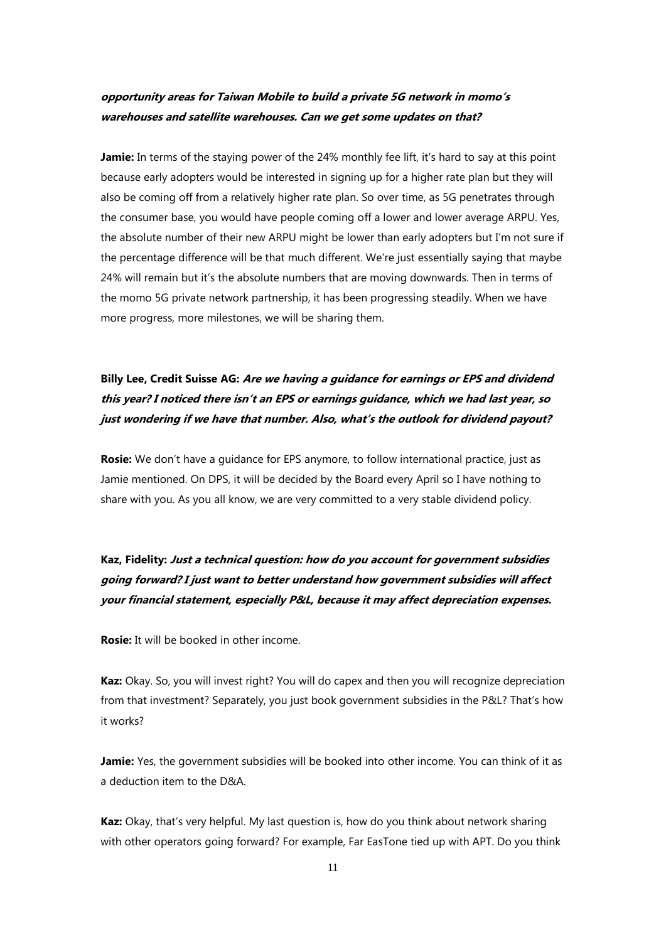# **opportunity areas for Taiwan Mobile to build a private 5G network in momo's warehouses and satellite warehouses. Can we get some updates on that?**

**Jamie:** In terms of the staying power of the 24% monthly fee lift, it's hard to say at this point because early adopters would be interested in signing up for a higher rate plan but they will also be coming off from a relatively higher rate plan. So over time, as 5G penetrates through the consumer base, you would have people coming off a lower and lower average ARPU. Yes, the absolute number of their new ARPU might be lower than early adopters but I'm not sure if the percentage difference will be that much different. We're just essentially saying that maybe 24% will remain but it's the absolute numbers that are moving downwards. Then in terms of the momo 5G private network partnership, it has been progressing steadily. When we have more progress, more milestones, we will be sharing them.

**Billy Lee, Credit Suisse AG: Are we having a guidance for earnings or EPS and dividend this year? I noticed there isn't an EPS or earnings guidance, which we had last year, so just wondering if we have that number. Also, what's the outlook for dividend payout?**

**Rosie:** We don't have a guidance for EPS anymore, to follow international practice, just as Jamie mentioned. On DPS, it will be decided by the Board every April so I have nothing to share with you. As you all know, we are very committed to a very stable dividend policy.

**Kaz, Fidelity: Just a technical question: how do you account for government subsidies going forward? I just want to better understand how government subsidies will affect your financial statement, especially P&L, because it may affect depreciation expenses.**

**Rosie:** It will be booked in other income.

**Kaz:** Okay. So, you will invest right? You will do capex and then you will recognize depreciation from that investment? Separately, you just book government subsidies in the P&L? That's how it works?

**Jamie:** Yes, the government subsidies will be booked into other income. You can think of it as a deduction item to the D&A.

**Kaz:** Okay, that's very helpful. My last question is, how do you think about network sharing with other operators going forward? For example, Far EasTone tied up with APT. Do you think